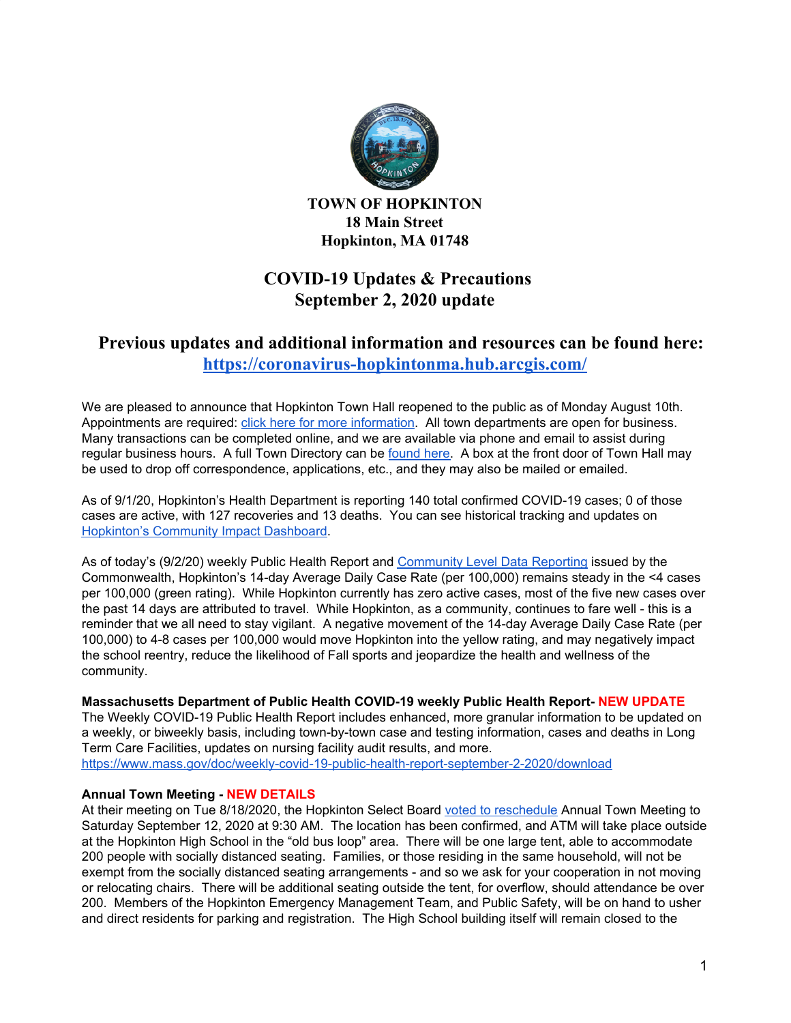

**TOWN OF HOPKINTON 18 Main Street Hopkinton, MA 01748**

# **COVID-19 Updates & Precautions September 2, 2020 update**

# **Previous updates and additional information and resources can be found here: <https://coronavirus-hopkintonma.hub.arcgis.com/>**

We are pleased to announce that Hopkinton Town Hall reopened to the public as of Monday August 10th. Appointments are required: click here for more [information](https://www.hopkintonma.gov/Hopkinton%20Town%20Hall%20Reopening%20Plan%208-7-2020.pdf). All town departments are open for business. Many transactions can be completed online, and we are available via phone and email to assist during regular business hours. A full Town Directory can be [found](https://www.hopkintonma.gov/departments/index.php) here. A box at the front door of Town Hall may be used to drop off correspondence, applications, etc., and they may also be mailed or emailed.

As of 9/1/20, Hopkinton's Health Department is reporting 140 total confirmed COVID-19 cases; 0 of those cases are active, with 127 recoveries and 13 deaths. You can see historical tracking and updates on [Hopkinton's](https://hopkintonma.maps.arcgis.com/apps/opsdashboard/index.html#/01aa244939e540aeb2991ec71392d431) Community Impact Dashboard.

As of today's (9/2/20) weekly Public Health Report and [Community](https://www.mass.gov/info-details/community-level-covid-19-data-reporting) Level Data Reporting issued by the Commonwealth, Hopkinton's 14-day Average Daily Case Rate (per 100,000) remains steady in the <4 cases per 100,000 (green rating). While Hopkinton currently has zero active cases, most of the five new cases over the past 14 days are attributed to travel. While Hopkinton, as a community, continues to fare well - this is a reminder that we all need to stay vigilant. A negative movement of the 14-day Average Daily Case Rate (per 100,000) to 4-8 cases per 100,000 would move Hopkinton into the yellow rating, and may negatively impact the school reentry, reduce the likelihood of Fall sports and jeopardize the health and wellness of the community.

# **Massachusetts Department of Public Health COVID-19 weekly Public Health Report- NEW UPDATE**

The Weekly COVID-19 Public Health Report includes enhanced, more granular information to be updated on a weekly, or biweekly basis, including town-by-town case and testing information, cases and deaths in Long Term Care Facilities, updates on nursing facility audit results, and more.

<https://www.mass.gov/doc/weekly-covid-19-public-health-report-september-2-2020/download>

#### **Annual Town Meeting - NEW DETAILS**

At their meeting on Tue 8/18/2020, the Hopkinton Select Board voted to [reschedule](https://groups.google.com/a/hopkintonma.gov/forum/#!topic/bosagendas/aRYGIy5_ATc) Annual Town Meeting to Saturday September 12, 2020 at 9:30 AM. The location has been confirmed, and ATM will take place outside at the Hopkinton High School in the "old bus loop" area. There will be one large tent, able to accommodate 200 people with socially distanced seating. Families, or those residing in the same household, will not be exempt from the socially distanced seating arrangements - and so we ask for your cooperation in not moving or relocating chairs. There will be additional seating outside the tent, for overflow, should attendance be over 200. Members of the Hopkinton Emergency Management Team, and Public Safety, will be on hand to usher and direct residents for parking and registration. The High School building itself will remain closed to the